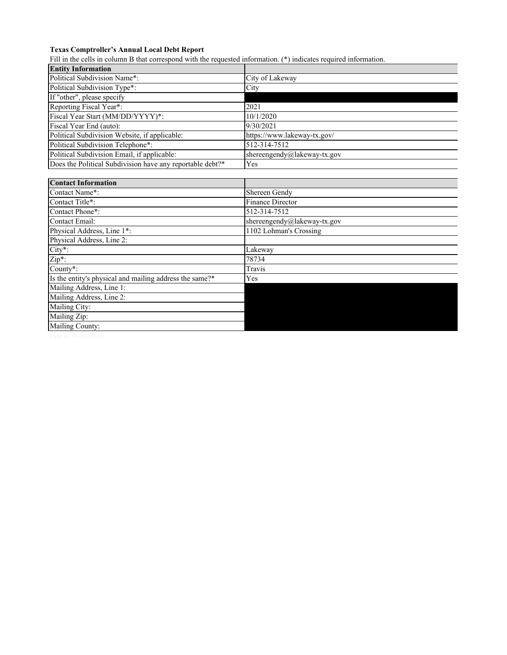## **Texas Comptroller's Annual Local Debt Report**

Fill in the cells in column B that correspond with the requested information. (\*) indicates required information.

| <b>Entity Information</b>                                 |                             |  |  |  |
|-----------------------------------------------------------|-----------------------------|--|--|--|
| Political Subdivision Name*:                              | City of Lakeway             |  |  |  |
| Political Subdivision Type*:                              | City                        |  |  |  |
| If "other", please specify                                |                             |  |  |  |
| Reporting Fiscal Year*:                                   | 2021                        |  |  |  |
| Fiscal Year Start (MM/DD/YYYY)*:                          | 10/1/2020                   |  |  |  |
| Fiscal Year End (auto):                                   | 9/30/2021                   |  |  |  |
| Political Subdivision Website, if applicable:             | https://www.lakeway-tx.gov/ |  |  |  |
| Political Subdivision Telephone*:                         | 512-314-7512                |  |  |  |
| Political Subdivision Email, if applicable:               | shereengendy@lakeway-tx.gov |  |  |  |
| Does the Political Subdivision have any reportable debt?* | Yes                         |  |  |  |
|                                                           |                             |  |  |  |
| <b>Contact Information</b>                                |                             |  |  |  |
| Contact Name*:                                            | Shereen Gendy               |  |  |  |
| Contact Title*:                                           | <b>Finance Director</b>     |  |  |  |
| Contact Phone*:                                           | 512-314-7512                |  |  |  |
| Contact Email:                                            | shereengendy@lakeway-tx.gov |  |  |  |
| Physical Address, Line 1*:                                | 1102 Lohman's Crossing      |  |  |  |
| Physical Address, Line 2:                                 |                             |  |  |  |
| $City*$ :                                                 | Lakeway                     |  |  |  |
| $Zip*$ :                                                  | 78734                       |  |  |  |
| County*:                                                  | Travis                      |  |  |  |
| Is the entity's physical and mailing address the same?*   | Yes                         |  |  |  |
| Mailing Address, Line 1:                                  |                             |  |  |  |
| Mailing Address, Line 2:                                  |                             |  |  |  |
| Mailing City:                                             |                             |  |  |  |
| Mailing Zip:                                              |                             |  |  |  |
| Mailing County:                                           |                             |  |  |  |
|                                                           |                             |  |  |  |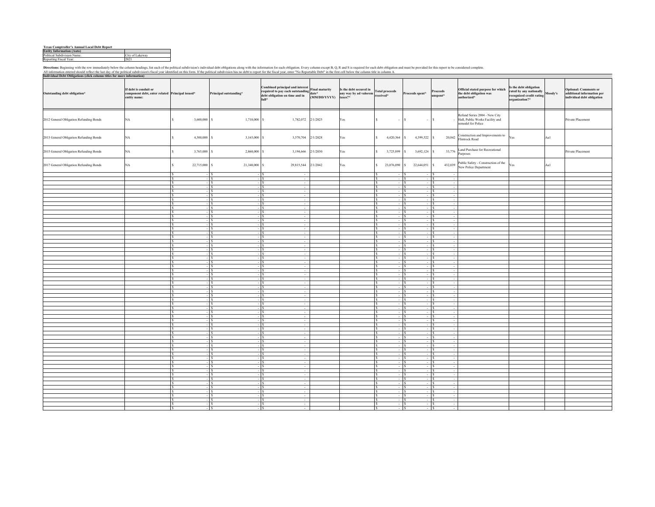## **Texas Comptroller's Annual Local Debt Report Entity Information (Auto)**

| телая соннитонег я ганицагылсагы кенчит |                 |  |  |  |  |
|-----------------------------------------|-----------------|--|--|--|--|
| <b>Entity Information (Auto)</b>        |                 |  |  |  |  |
| Political Subdivision Name:             | City of Lakeway |  |  |  |  |
| Reporting Fiscal Year:                  | 2021            |  |  |  |  |

Directions: Beginning with the row immediately below the column headings, list each of the political subdivision's individual debt obligations along with the information for each obligation. Every column except B, Q, R and

| iuuai Debt Ol<br>Outstanding debt obligation* | If debt is conduit or<br>component debt, enter related Principal issued*<br>entity name: |                                                | Principal outstanding*           | Combined principal and interest<br>Combined principal and interest<br>required to pay each outstanding $\begin{bmatrix} \text{Final maturity} \\ \text{date*} \end{bmatrix}$<br>debt obligation on time and in<br>full* | (MM/DD/YYYY) | Is the debt secured in<br>any way by ad valorem<br>taxes?* | received*              | <b>Total proceeds</b>  | Proceeds spent*   |                          | Proceeds<br>spent* | Official stated purpose for which<br>the debt obligation was<br>authorized*           | s the debt obligation<br>ated by any nationally<br>recognized credit rating<br>rganization?* | Moody's | <b>Optional: Comments or</b><br>additional information per<br>individual debt obligation |
|-----------------------------------------------|------------------------------------------------------------------------------------------|------------------------------------------------|----------------------------------|-------------------------------------------------------------------------------------------------------------------------------------------------------------------------------------------------------------------------|--------------|------------------------------------------------------------|------------------------|------------------------|-------------------|--------------------------|--------------------|---------------------------------------------------------------------------------------|----------------------------------------------------------------------------------------------|---------|------------------------------------------------------------------------------------------|
| 2012 General Obligation Refunding Bonds       | NA                                                                                       | 3,600,000 S<br>s.                              | 1,710,000                        | 1,782,072 2/1/2025                                                                                                                                                                                                      |              | Yes                                                        | <sup>S</sup>           | $\epsilon$             | $\vert$ s         | $ \vert$ S               |                    | Refund Series 2004 - New City<br>Hall, Public Works Facility and<br>emodel for Police |                                                                                              |         | Private Placement                                                                        |
| 2013 General Obligation Refunding Bonds       | $_{\rm NA}$                                                                              | $\mathsf{s}$<br>4,300,000 S                    | 3,165,000                        | 3,570,704 2/1/2028                                                                                                                                                                                                      |              | Yes                                                        | S.                     | 4,420,364              | -S                | 4,399,522 S              | 20,842             | Construction and Improvements to<br>Iintrock Road                                     | Yes                                                                                          | Aal     |                                                                                          |
| 2015 General Obligation Refunding Bonds       | $_{\rm NA}$                                                                              | $\hat{\mathbf{x}}$<br>3,765,000                | 2,860,000                        | 3,194,666                                                                                                                                                                                                               | 2/1/2030     | Yes                                                        |                        | 3,725,899              | 3,692,124         |                          | 33,776             | and Purchase for Recreational<br>urposes                                              |                                                                                              |         | Private Placement                                                                        |
| 2017 General Obligation Refunding Bonds       | NA                                                                                       | $\mathsf{s}$<br>22,715,000 S                   | 21,340,000                       | 29,815,544 2/1/2042                                                                                                                                                                                                     |              | Yes                                                        |                        | 23,076,090             | 22,644,051<br>-S. |                          | 432,039            | ublic Safety - Construction of the<br>New Police Department                           | Yes                                                                                          | Aa1     |                                                                                          |
|                                               |                                                                                          | s<br>S<br>$-$ S                                | - I S                            | $\sim$                                                                                                                                                                                                                  |              |                                                            |                        | - IS<br>$ \vert$ s     |                   | $-$ IS<br>$  S $         |                    |                                                                                       |                                                                                              |         |                                                                                          |
|                                               |                                                                                          | s                                              |                                  |                                                                                                                                                                                                                         |              |                                                            |                        | $-$ S                  |                   | $-$ S                    |                    |                                                                                       |                                                                                              |         |                                                                                          |
|                                               |                                                                                          | l s<br>$-$ S                                   | $-1S$                            | $\sim$                                                                                                                                                                                                                  |              |                                                            |                        | $-1s$                  |                   | $ \vert$ S               |                    |                                                                                       |                                                                                              |         |                                                                                          |
|                                               |                                                                                          | $\mathbf{s}$                                   | $-$ S<br>- I s                   | $\sim$                                                                                                                                                                                                                  |              |                                                            |                        | $-$ s                  |                   | $-1s$                    |                    |                                                                                       |                                                                                              |         |                                                                                          |
|                                               |                                                                                          | $\mathsf{S}$<br>$-$ S<br><sub>S</sub><br>$-$ S |                                  | - I s<br>$\sim$<br>$-$ S<br>$\sim$                                                                                                                                                                                      |              |                                                            | <sup>s</sup>           | $-$ S<br>$-$ S         |                   | $-5$<br>$ \vert$ S       |                    |                                                                                       |                                                                                              |         |                                                                                          |
|                                               |                                                                                          | $\sqrt{s}$<br>$-$ S                            | $-1S$                            | $\sim$                                                                                                                                                                                                                  |              |                                                            | <sup>s</sup>           | $-$ S                  |                   | $-$ S                    |                    |                                                                                       |                                                                                              |         |                                                                                          |
|                                               |                                                                                          | $-$ S<br>l S                                   | $-1S$                            | $\sim$                                                                                                                                                                                                                  |              |                                                            | l S.                   | $ s$                   |                   | $-5$                     | $\sim$             |                                                                                       |                                                                                              |         |                                                                                          |
|                                               |                                                                                          | S<br>$-$ S                                     |                                  | $\sim$                                                                                                                                                                                                                  |              |                                                            |                        | $-$ s                  |                   | $-$ S                    |                    |                                                                                       |                                                                                              |         |                                                                                          |
|                                               |                                                                                          | l \$<br>$-$ S<br>Τs<br>$-$ S                   | $-1S$                            | $\sim$<br>$\sim$                                                                                                                                                                                                        |              |                                                            | $\epsilon$             | $ s$<br>$-$ s          |                   | $-$ S<br>$-5$            |                    |                                                                                       |                                                                                              |         |                                                                                          |
|                                               |                                                                                          | s.                                             | $-$ S                            | - I S<br>$\sim$                                                                                                                                                                                                         |              |                                                            |                        | $-1s$                  |                   | $-$ s                    |                    |                                                                                       |                                                                                              |         |                                                                                          |
|                                               |                                                                                          | $\sqrt{s}$<br>$-$ S                            |                                  | - Is<br>$\sim$                                                                                                                                                                                                          |              |                                                            | $\mathbf{s}$           | $-$ S                  |                   | $-5$                     |                    |                                                                                       |                                                                                              |         |                                                                                          |
|                                               |                                                                                          | <sup>S</sup>                                   | - I S                            | $\overline{\phantom{a}}$<br>$\sim$                                                                                                                                                                                      |              |                                                            |                        | $-$ S                  |                   | $-1s$                    |                    |                                                                                       |                                                                                              |         |                                                                                          |
|                                               |                                                                                          | $\sim$<br>$-$ S                                | $-$ S<br>$-1s$                   | $\sim$                                                                                                                                                                                                                  |              |                                                            | IS.<br>$\sim$          | $-$ S                  |                   | $-$ S                    |                    |                                                                                       |                                                                                              |         |                                                                                          |
|                                               |                                                                                          | l S<br>$-$ S<br>-S                             | $-$ S                            | $\sim$<br>$\sim$                                                                                                                                                                                                        |              |                                                            |                        | $-$ S<br>$ \vert$ s    |                   | $-$ S<br>$ \vert$ S      |                    |                                                                                       |                                                                                              |         |                                                                                          |
|                                               |                                                                                          | -S<br>$-$ S                                    |                                  | $\sim$                                                                                                                                                                                                                  |              |                                                            |                        | $-$ S                  |                   | $ s$                     |                    |                                                                                       |                                                                                              |         |                                                                                          |
|                                               |                                                                                          | l s<br>$-$ S                                   | $-1S$                            | $\sim$                                                                                                                                                                                                                  |              |                                                            | $\sim$                 | $-1s$                  |                   | $-1s$                    |                    |                                                                                       |                                                                                              |         |                                                                                          |
|                                               |                                                                                          | S<br>-S                                        | $-$ S<br>- I S<br>$-$ S<br>- I S | $\sim$<br>$\sim$                                                                                                                                                                                                        |              |                                                            |                        | $-$ s<br>$-$ S         |                   | $-$ S<br>$-$ S           |                    |                                                                                       |                                                                                              |         |                                                                                          |
|                                               |                                                                                          | l s<br>$-$ S                                   |                                  | $-$ S<br>$\sim$                                                                                                                                                                                                         |              |                                                            | <sup>s</sup>           | $-$ S                  |                   | $ \vert$ S               |                    |                                                                                       |                                                                                              |         |                                                                                          |
|                                               |                                                                                          | $\mathbf{s}$<br>$-$ S                          | $-1S$                            | $\sim$                                                                                                                                                                                                                  |              |                                                            | $\sim$                 | $-$ S                  |                   | $-$ S                    |                    |                                                                                       |                                                                                              |         |                                                                                          |
|                                               |                                                                                          | $-$ S<br><sub>S</sub>                          | $-1S$                            | $\sim$                                                                                                                                                                                                                  |              |                                                            | <sup>s</sup>           | $ \vert$ S             |                   | $-$ S                    |                    |                                                                                       |                                                                                              |         |                                                                                          |
|                                               |                                                                                          | l S<br>$-$ S<br>l s                            |                                  | $\sim$                                                                                                                                                                                                                  |              |                                                            |                        | $-$ S<br>$-$ s         |                   | $  S $                   |                    |                                                                                       |                                                                                              |         |                                                                                          |
|                                               |                                                                                          | $-$ S<br>s                                     | - I S                            | $\sim$<br>$\overline{\phantom{a}}$                                                                                                                                                                                      |              |                                                            |                        | $-1s$                  |                   | $ \vert$ S<br>$  s$      |                    |                                                                                       |                                                                                              |         |                                                                                          |
|                                               |                                                                                          | $-$ s<br>$\overline{\mathbf{s}}$               |                                  | $-$ S<br>$\sim$                                                                                                                                                                                                         |              |                                                            | lс                     | $-$ S                  |                   | $ s$                     |                    |                                                                                       |                                                                                              |         |                                                                                          |
|                                               |                                                                                          | -S                                             | $-$ S                            | - I S<br>$\sim$                                                                                                                                                                                                         |              |                                                            |                        | $-$ S                  |                   | $-1s$                    |                    |                                                                                       |                                                                                              |         |                                                                                          |
|                                               |                                                                                          | s                                              | $-$ S<br>. I s                   | $\sim$<br>$\sim$                                                                                                                                                                                                        |              |                                                            |                        | $-$ S                  |                   | $-5$                     |                    |                                                                                       |                                                                                              |         |                                                                                          |
|                                               |                                                                                          | S.<br>$-$ S<br>l S<br>$-$ S                    | $-$ S<br>$-$ S                   | $\sim$                                                                                                                                                                                                                  |              |                                                            | <sup>s</sup><br>$\sim$ | $-$ S<br>$-$ S         |                   | $-$ S<br>$-$ S           | in 1999.           |                                                                                       |                                                                                              |         |                                                                                          |
|                                               |                                                                                          | -S<br>$-$ S                                    |                                  | $\sim$                                                                                                                                                                                                                  |              |                                                            |                        | $ s$                   |                   | $\overline{\mathcal{S}}$ |                    |                                                                                       |                                                                                              |         |                                                                                          |
|                                               |                                                                                          | l S                                            | $-$ S                            | $\sim$                                                                                                                                                                                                                  |              |                                                            |                        | $ \vert$ s             |                   | $ \vert$ S               |                    |                                                                                       |                                                                                              |         |                                                                                          |
|                                               |                                                                                          | l S<br>$-$ S<br>l s:                           | . I s<br>$-$ S<br>$\sqrt{ }$     |                                                                                                                                                                                                                         |              |                                                            |                        | $ s$<br>$-1s$          |                   | $-$ S<br>$-1s$           |                    |                                                                                       |                                                                                              |         |                                                                                          |
|                                               |                                                                                          | Τs<br>$-$ S                                    |                                  | $\sim$<br>- I S<br>$\sim$                                                                                                                                                                                               |              |                                                            | l s                    | $-$ S                  |                   | $-1s$                    |                    |                                                                                       |                                                                                              |         |                                                                                          |
|                                               |                                                                                          | $\mathsf{S}$                                   | $-$ S                            | $\overline{\mathbf{s}}$                                                                                                                                                                                                 |              |                                                            |                        | $-$ S                  |                   | $-5$                     |                    |                                                                                       |                                                                                              |         |                                                                                          |
|                                               |                                                                                          | s                                              | $-$ S                            |                                                                                                                                                                                                                         |              |                                                            |                        | $-$ S                  |                   | $ \vert$ S               |                    |                                                                                       |                                                                                              |         |                                                                                          |
|                                               |                                                                                          | $\mathbf{s}$<br>$-$ S<br>$-$ S<br>l s          | $-$ S<br>$-1s$                   | $\sim$<br>$\sim$                                                                                                                                                                                                        |              |                                                            |                        | $\sim$ S<br>$ \vert$ S |                   | $-$ S<br>$ \vert$ S      |                    |                                                                                       |                                                                                              |         |                                                                                          |
|                                               |                                                                                          | s<br>$-1s$                                     |                                  | $\sim$                                                                                                                                                                                                                  |              |                                                            |                        | $ \vert$ S             |                   | $-$ S                    |                    |                                                                                       |                                                                                              |         |                                                                                          |
|                                               |                                                                                          | s<br>$-$ S                                     |                                  | $\sim$                                                                                                                                                                                                                  |              |                                                            |                        | $ S$                   |                   | $  s$                    |                    |                                                                                       |                                                                                              |         |                                                                                          |
|                                               |                                                                                          | $-$ S<br>$\mathbf{s}$                          | $-$ S                            | $\sim$                                                                                                                                                                                                                  |              |                                                            |                        | $-$ S                  |                   | $-$ s                    | $\sim$             |                                                                                       |                                                                                              |         |                                                                                          |
|                                               |                                                                                          | $\mathbf{s}$<br>Ιs                             | $-$ S<br>، ا<br>$-$ S<br>. I s   | $\sim$<br>$\sim$                                                                                                                                                                                                        |              |                                                            |                        | $-1s$<br>$-$ S         |                   | $-1s$<br>$-1s$           |                    |                                                                                       |                                                                                              |         |                                                                                          |
|                                               |                                                                                          | S<br>$-$ S                                     |                                  | $-$ S<br>$\sim$                                                                                                                                                                                                         |              |                                                            |                        | $-$ S                  |                   | $ \vert$ S               |                    |                                                                                       |                                                                                              |         |                                                                                          |
|                                               |                                                                                          | S<br>$-$ S                                     | $-1s$                            | $\sim$                                                                                                                                                                                                                  |              |                                                            |                        | $-$ S                  |                   | $-$ S                    |                    |                                                                                       |                                                                                              |         |                                                                                          |
|                                               |                                                                                          | <b>S</b><br>$-1S$                              | $-1S$                            | $\sim$                                                                                                                                                                                                                  |              |                                                            | l S.                   | $ \vert$ S             |                   | $ \vert$ S               |                    |                                                                                       |                                                                                              |         |                                                                                          |
|                                               |                                                                                          | $\sim$<br>$-1S$<br>s                           | . Is                             | $\sim$                                                                                                                                                                                                                  |              |                                                            |                        | $-1s$<br>$-1s$         |                   | $-1s$<br>$  s$           |                    |                                                                                       |                                                                                              |         |                                                                                          |
|                                               |                                                                                          | s                                              | - I S                            | $\sim$<br>$\sim$                                                                                                                                                                                                        |              |                                                            |                        | $ s$                   |                   | $-1S$                    |                    |                                                                                       |                                                                                              |         |                                                                                          |
|                                               |                                                                                          | Τs<br>$-$ S                                    | ، ا ہ                            | $\sim$                                                                                                                                                                                                                  |              |                                                            | l s                    | ार                     |                   | ार                       |                    |                                                                                       |                                                                                              |         |                                                                                          |
|                                               |                                                                                          | s.                                             | $-$ S                            | $\sim$                                                                                                                                                                                                                  |              |                                                            |                        | $-$ S                  |                   | $ \overline{\text{s}}$   |                    |                                                                                       |                                                                                              |         |                                                                                          |
|                                               |                                                                                          | s.<br>s                                        | - I S<br>$-1S$                   | $\sim$<br>۰Is                                                                                                                                                                                                           |              |                                                            |                        | $-$ S<br>$-1s$         |                   | $ \vert$ S<br>$-1s$      |                    |                                                                                       |                                                                                              |         |                                                                                          |
|                                               |                                                                                          |                                                |                                  |                                                                                                                                                                                                                         |              |                                                            |                        |                        |                   |                          |                    |                                                                                       |                                                                                              |         |                                                                                          |